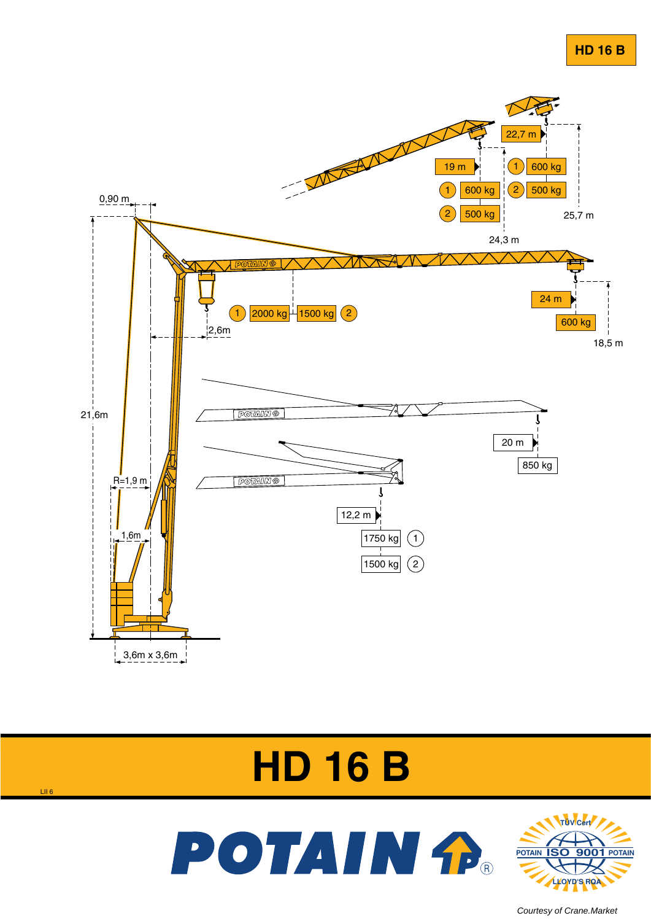







[Courtesy of Crane.Market](https://crane.market) 

LII 6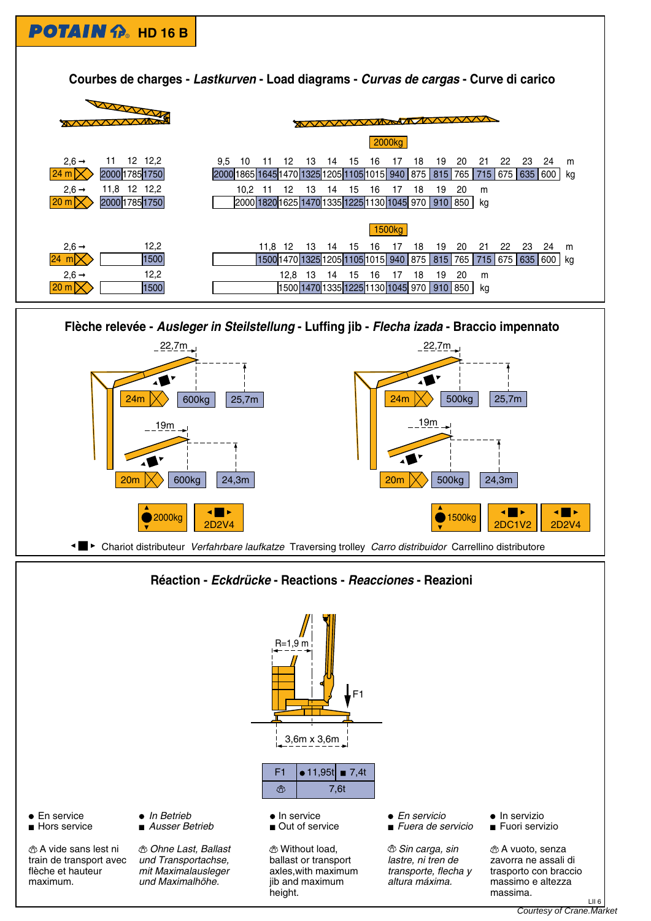



## **Réaction - Eckdrücke - Reactions - Reacciones - Reazioni**

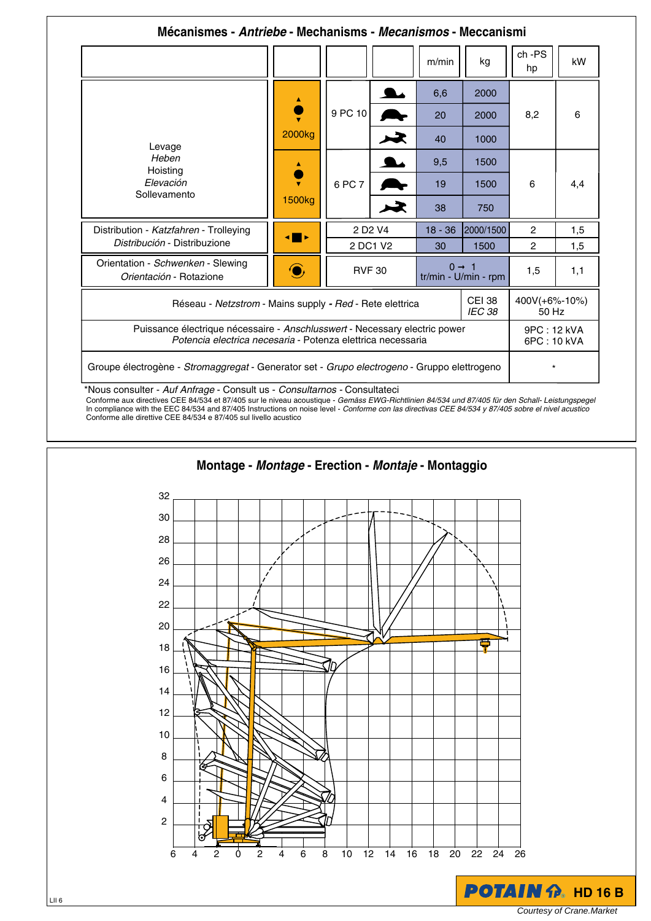|                                                                                                                                           |                     |                                 |                       | m/min                                     | kg        | ch-PS<br>hp                | kW  |
|-------------------------------------------------------------------------------------------------------------------------------------------|---------------------|---------------------------------|-----------------------|-------------------------------------------|-----------|----------------------------|-----|
| Levage<br>Heben<br>Hoisting<br>Elevación<br>Sollevamento                                                                                  | 2000 <sub>kg</sub>  | 9 PC 10                         |                       | 6,6                                       | 2000      | 8,2                        | 6   |
|                                                                                                                                           |                     |                                 |                       | 20                                        | 2000      |                            |     |
|                                                                                                                                           |                     |                                 | $\blacktriangleright$ | 40                                        | 1000      |                            |     |
|                                                                                                                                           | 1500 <sub>kg</sub>  | 6 PC 7                          |                       | 9,5                                       | 1500      | 6                          | 4,4 |
|                                                                                                                                           |                     |                                 |                       | 19                                        | 1500      |                            |     |
|                                                                                                                                           |                     |                                 | $\blacktriangleright$ | 38                                        | 750       |                            |     |
| Distribution - Katzfahren - Trolleying<br>Distribución - Distribuzione                                                                    | $\blacksquare$      | 2 D <sub>2</sub> V <sub>4</sub> |                       | $18 - 36$                                 | 2000/1500 | $\overline{2}$             | 1,5 |
|                                                                                                                                           |                     | 2 DC1 V2                        |                       | 30                                        | 1500      | $\overline{2}$             | 1,5 |
| Orientation - Schwenken - Slewing<br>Orientación - Rotazione                                                                              | $\widehat{\bullet}$ | <b>RVF 30</b>                   |                       | $0 \rightarrow 1$<br>tr/min - U/min - rpm |           | 1,5                        | 1,1 |
| <b>CEI 38</b><br>Réseau - Netzstrom - Mains supply - Red - Rete elettrica<br>IEC 38                                                       |                     |                                 |                       |                                           |           | 400V(+6%-10%)<br>50 Hz     |     |
| Puissance électrique nécessaire - Anschlusswert - Necessary electric power<br>Potencia electrica necesaria - Potenza elettrica necessaria |                     |                                 |                       |                                           |           | 9PC: 12 kVA<br>6PC: 10 kVA |     |
| Groupe électrogène - Stromaggregat - Generator set - Grupo electrogeno - Gruppo elettrogeno                                               |                     |                                 |                       |                                           |           | $\star$                    |     |

Conforme aux directives CEE 84/534 et 87/405 sur le niveau acoustique - Gemäss EWG-Richtlinien 84/534 und 87/405 für den Schall- Leistungspegel In compliance with the EEC 84/534 and 87/405 Instructions on noise level - Conforme con las directivas CEE 84/534 y 87/405 sobre el nivel acustico Conforme alle direttive CEE 84/534 e 87/405 sul livello acustico